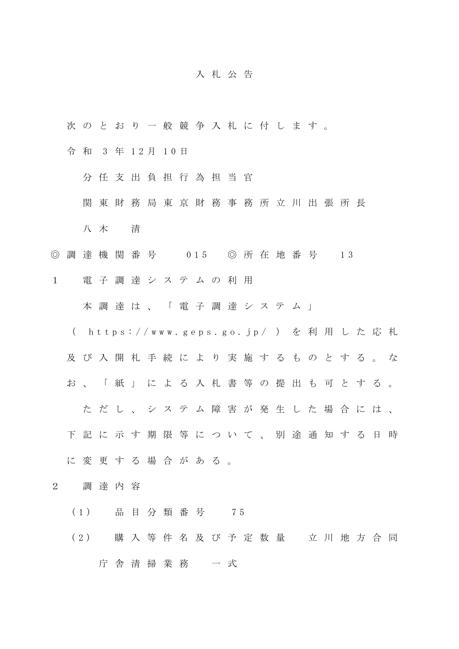## 入札公告

- 次のとおり一般競争入札に付します。
- 令 和 3 年 1 2 月 1 0 日
	- 分任支出負担行為担当官
	- 関東財務局東京財務事務所立川出張所長
	- 八 木 清
- ◎ 調 達 機 関 番 号 0 1 5 ◎ 所 在 地 番 号 1 3
- 1 電子調達システムの利用

本 調 達 は、「電子調達システム」

- ( https://www.geps.go.jp/ ) を利用した応札
- 及び入開札手続により実施するものとする。な
- お、「紙」による入札書等の提出も可とする。
	- た だし、システム障害が発生した場合には、
- 下記に示す期限等について、別途通知する日時
- に変更する場合がある。
- 2 調達内容
	- ( 1 ) 品目分類番号 7 5
	- (2) 購入等件名及び予定数量 立川地方合同
		- 庁舎清掃業務 一 式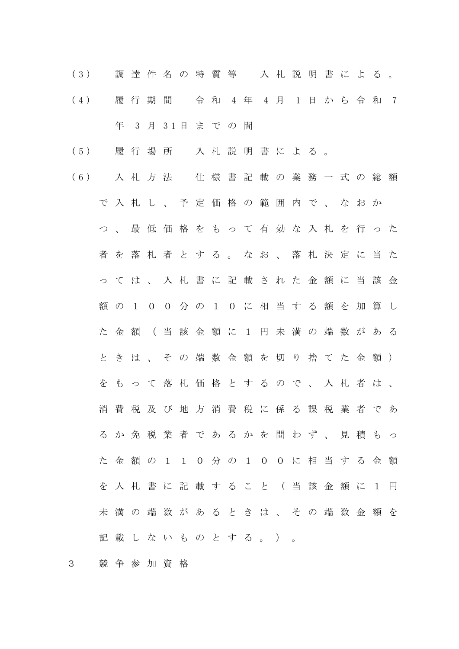- ( 3 ) 調達件名の特質等 入札説明書による 。 ( 4 ) 履 行 期 間 令 和 4 年 4 月 1 日から令 和 7 年 3 月 3 1 日までの間
- ( 5 ) 履 行 場 所 入札説明書による 。
- ( 6 ) 入札方法 仕様書記載の業務一式の総額 で入札し、予定価格の範囲内で、なおか つ 、最低価格をもって有効な入札を行った 者を落札者とする。なお、落札決定に当た っては、入札書に記載された金額に当該金 額の100分の10に相当する額を加算し た金額(当該金額に1円未満の端数がある ときは、その端数金額を切り捨てた金額) をもって落札価格とするので、入札者は、 消費税及び地方消費税に係る課税業者であ るか免税業者であるかを問わず、見積もっ た金額の110分の100に相当する金額 を入札書に記載すること (当該金額に1円 未満の端数があるときは、その端数金額を 記載しないものとする。)。
- 3 競争参加資格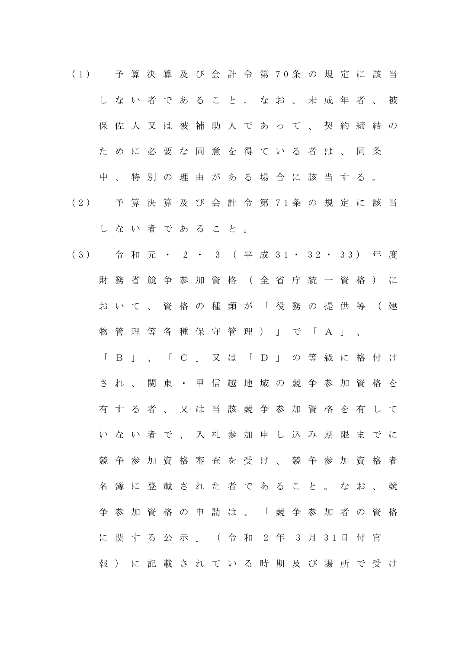( 1 ) 予算決算及び会計令第 7 0 条の規定に該当 しない者であること。なお、未成年者 、 被 保佐人又は被補助人であって、契約締結の ために必要な同意を得ている者は、同条 中、特別の理由がある場合に該当する 。 ( 2 ) 予算決算及び会計令第 7 1 条の規定に該当 しない者であること。 ( 3 ) 令和元・ 2 ・ 3 ( 平 成 3 1 ・ 3 2 ・ 3 3 ) 年 度 財務省競争参加資格(全省庁統一資格)に おいて、資格の種類が「役務の提供等(建 物管理等各種保守管理) 」 で 「 A 」 、 「B」、「C」 又は「 D 」 の等級に格付け され、関東・甲信越地域の競争参加資格を 有する者、又は当該競争参加資格を有して いない者で、入札参加申し込み期限までに 競争参加資格審査を受け、競争参加資格者 名簿に登載された者であること。 なお、競 争参加資格の申請は、「競争参加者の資格 に関する公示」 ( 令 和 2 年 3 月 3 1 日 付 官 報 ) に記載されている時期及び場所で受け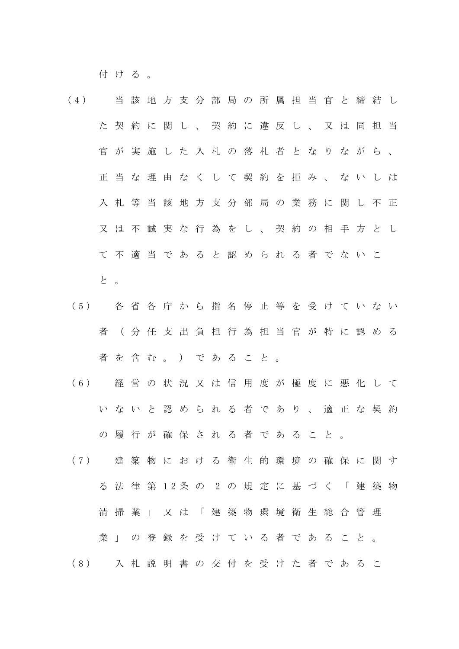付ける。

- (4) 当該地方支分部局の所属担当官と締結し た契約に関し、契約に違反し、又は同担当 官が実施した入札の落札者となりながら、 正当な理由なくして契約を拒み、ないしは 入札等当該地方支分部局の業務に関し不正 又は不誠実な行為をし、契約の相手方とし て不適当であると認められる者でないこ と 。
- ( 5 ) 各省各庁から指名停止等を受けていない 者(分 任支出負担行為担当官が特に認める 者を含む。)であること。
- ( 6 ) 経営の状況又は信用度が極度に悪化して いないと認められる者であり、適正な契約 の履行が確保される者であること。
- ( 7 ) 建築物における衛生的環境の確保に関す る法律第 1 2 条 の 2 の規定に基づく「建築物 清掃業」又は「建築物環境衛生総合管理 業」の登録を受けている者であること。 ( 8 ) 入札説明書の交付を受けた者であるこ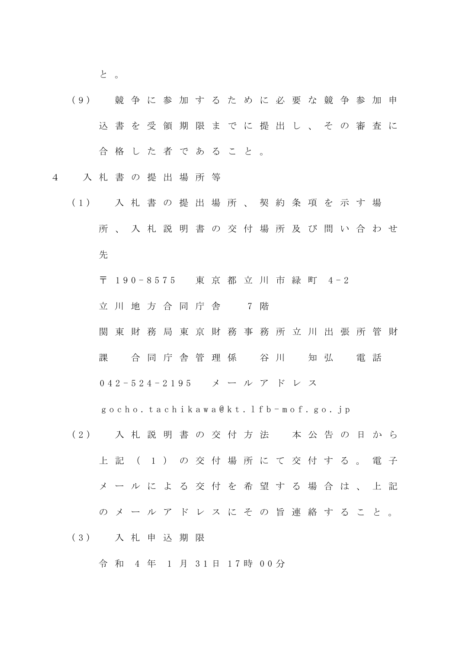と 。

(9) 競争に参加するために必要な競争参加申 込書を受領期限までに提出し、その審査に 合格した者であること 。

4 入札書の提出場所等

- ( 1 ) 入札書の提出場所、契約条項を示す場 所、入札説明書の交付場所及び問い合わせ 先
	- 〒 190-8575 東京都立川市緑町 4-2

立 川 地 方 合 同 庁 舎 7 階

関東財務局 東 京 財務事務所 立川出張所管財

課 合同庁舎管理係 谷川 知弘 電話

0 4 2 - 5 2 4 - 2 1 9 5 メールアドレス

g o c h o . t a c h i k a w a @ k t . l f b - m o f . g o . j p

( 2 ) 入札説明書の交付方法 本公告の日から 上 記 ( 1 ) の 交 付 場 所 に て 交 付 す る 。 電 子 メールによる交付を希望する場合は、上記 のメールアドレスにその旨連絡すること。 ( 3 ) 入札申込期限

令 和 4 年 1 月 3 1 日 1 7 時 0 0 分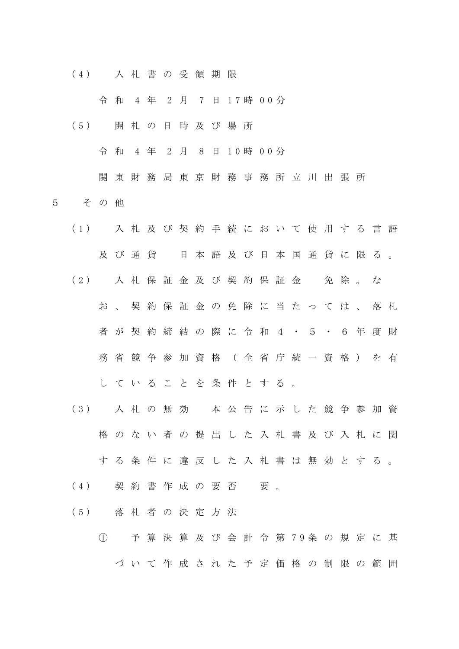( 4 ) 入札書の受領期限

令 和 4 年 2 月 7 日 1 7 時 0 0 分

( 5 ) 開札の日時及び場所

令 和 4 年 2 月 8 日 1 0 時 0 0 分

関東財務局東京財務事務所立川出張所

- 5 その他
	- ( 1 ) 入札及び契約手続において使用する言語 及び通貨 日本語及び日本国通貨に限る。 ( 2 ) 入札保証金及び契約保証金 免 除 。 な お、契約保証金の免除に当たっては、落札 者が契約締結の際に令和4・5・6年度財 務省競争参加資格(全省庁統一資格)を有 していることを条件とする。

( 3 ) 入札の 無 効 本公告に示した競争参加資

格のない者の提出した入札書及び入札に関

する条件に違反した入札書は無効とする。

- (4) 契約書作成の要否 要。
- ( 5 ) 落札者の決定方法
	- ① 予算決算及び会計令第 7 9 条の規定に基 づいて作成された予定価格の制限の範囲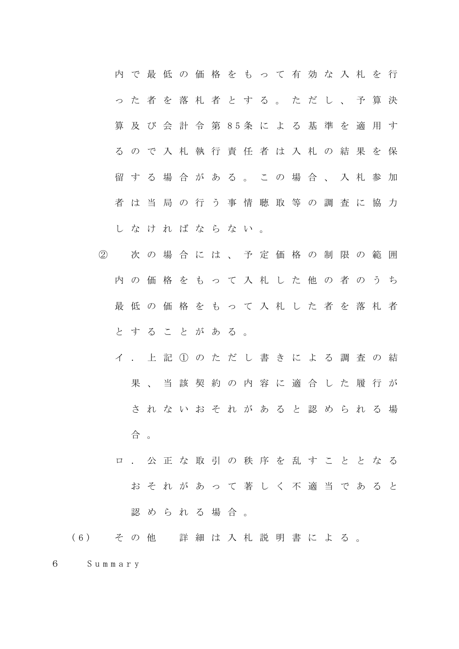|  |  |  |  | 内 で 最 低 の 価 格 を も っ て 有 効 な 入 札 を 行 |  |  |  |  |  |
|--|--|--|--|-------------------------------------|--|--|--|--|--|
|  |  |  |  | っ た 者 を 落 札 者 と す る 。 た だ し 、 予 算 決 |  |  |  |  |  |
|  |  |  |  | 算 及 び 会 計 令 第 85条 に よ る 基 準 を 適 用 す |  |  |  |  |  |
|  |  |  |  | るので入札執行責任者は入札の結果を保                  |  |  |  |  |  |
|  |  |  |  | 留する場合がある。この場合、入札参加                  |  |  |  |  |  |
|  |  |  |  | 者は当局の行う事情聴取等の調査に協力                  |  |  |  |  |  |
|  |  |  |  | しなければならない。                          |  |  |  |  |  |

- ② 次の場合には、予定価格の制限の範囲 内の価格をもって入札した他の者のうち 最低の価格をもって入札した者を落札者 とすることがある。
	- イ.上記①のただし書きによる調査の結 果、当該契約の内容に適合した履行が されないおそれがあると認められる場 合 。
	- ロ.公正な取引の秩序を乱すこととなる おそれがあって著しく不適当であると 認められる場合。

( 6 ) その他 詳細は入札説明書による。

6 S u m m a r y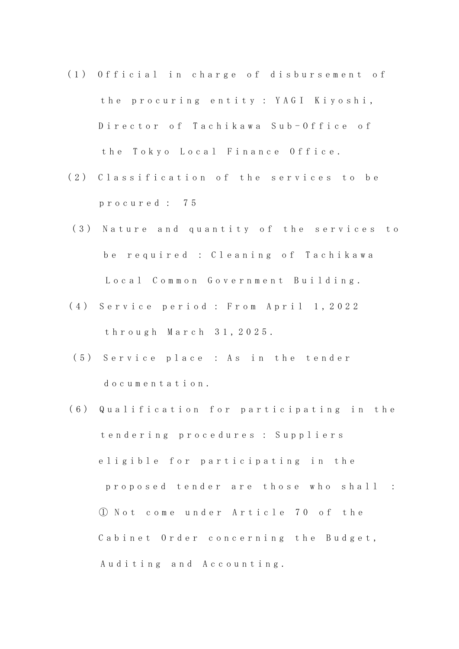- (1) Official in charge of disbursement of the procuring entity : YAGI Kiyoshi, Director of Tachikawa Sub-Office of the Tokyo Local Finance Office.
- (2) Classification of the services to be p r o c u r e d : 7 5
- (3) Nature and quantity of the services to be required : Cleaning of Tachikawa Local Common Government Building.
- (4) Service period : From April 1, 2022 t h r o u g h M a r c h 3 1 , 2 0 2 5 .
- (5) Service place : As in the tender do cumentation.
- (6) Qualification for participating in the t e n d e r i n g p r o c e d u r e s : S u p p l i e r s eligible for participating in the p r o p o s e d t e n d e r a r e t h o s e w h o s h a l l : ① N o t c o m e u n d e r A r t i c l e 7 0 o f t h e Cabinet Order concerning the Budget, Auditing and Accounting.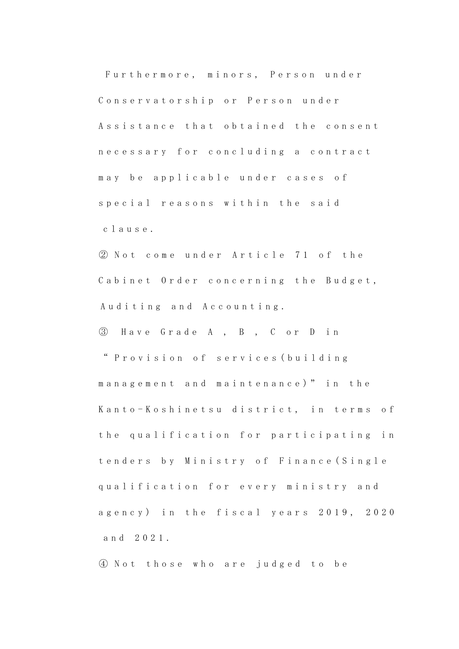Furthermore, minors, Person under Conservatorship or Person under Assistance that obtained the consent n e c e s s a r y f o r c o n c l u d i n g a c o n t r a c t may be applicable under cases of special reasons within the said c l a u s e .

② N o t c o m e u n d e r A r t i c l e 7 1 o f t h e Cabinet Order concerning the Budget, Auditing and Accounting.

③ H a v e G r a d e A , B , C o r D i n " P r o v i s i o n o f s e r v i c e s ( b u i l d i n g management and maintenance)" in the Kanto-Koshinetsu district, in terms of the qualification for participating in t e n d e r s b y Ministry of Finance (Single qualification for every ministry and agency) in the fiscal years 2019, 2020 a n d 2 0 2 1 .

④ N o t t h o s e w h o a r e j u d g e d t o b e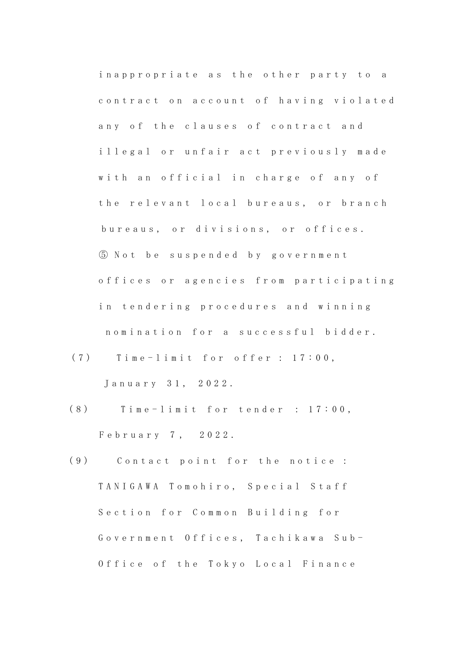in a p p r o p r i a t e a s the other party to a contract on account of having violated any of the clauses of contract and illegal or unfair act previously made with an official in charge of any of the relevant local bureaus, or branch bureaus, or divisions, or offices. ⑤ N o t b e s u s p e n d e d b y g o v e r n m e n t offices or agencies from participating in tendering procedures and winning nomination for a successful bidder.

 $(7)$  Time-limit for offer: 17:00,

January 31, 2022.

- $(8)$  Time-limit for tender : 17:00, February 7, 2022.
- (9) Contact point for the notice: TANIGAWA Tomohiro, Special Staff Section for Common Building for Government Offices, Tachikawa Sub-Office of the Tokyo Local Finance